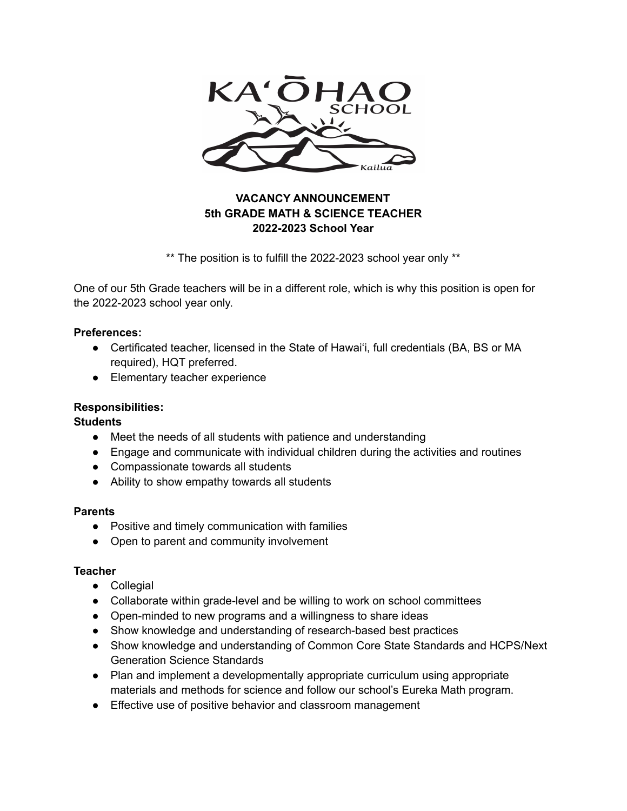

# **VACANCY ANNOUNCEMENT 5th GRADE MATH & SCIENCE TEACHER 2022-2023 School Year**

\*\* The position is to fulfill the 2022-2023 school year only \*\*

One of our 5th Grade teachers will be in a different role, which is why this position is open for the 2022-2023 school year only.

### **Preferences:**

- Certificated teacher, licensed in the State of Hawaiʻi, full credentials (BA, BS or MA required), HQT preferred.
- Elementary teacher experience

## **Responsibilities:**

**Students**

- Meet the needs of all students with patience and understanding
- Engage and communicate with individual children during the activities and routines
- Compassionate towards all students
- Ability to show empathy towards all students

### **Parents**

- Positive and timely communication with families
- Open to parent and community involvement

### **Teacher**

- Collegial
- Collaborate within grade-level and be willing to work on school committees
- Open-minded to new programs and a willingness to share ideas
- Show knowledge and understanding of research-based best practices
- Show knowledge and understanding of Common Core State Standards and HCPS/Next Generation Science Standards
- Plan and implement a developmentally appropriate curriculum using appropriate materials and methods for science and follow our school's Eureka Math program.
- Effective use of positive behavior and classroom management